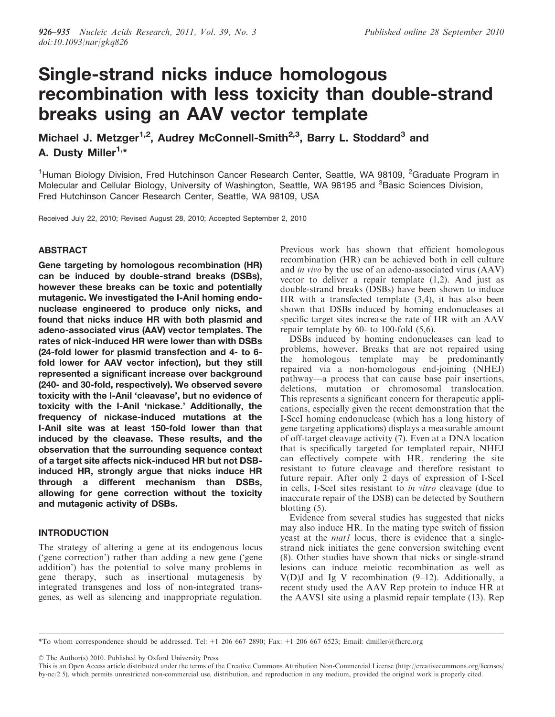# Single-strand nicks induce homologous recombination with less toxicity than double-strand breaks using an AAV vector template

Michael J. Metzger<sup>1,2</sup>, Audrey McConnell-Smith<sup>2,3</sup>, Barry L. Stoddard<sup>3</sup> and A. Dusty Miller<sup>1,\*</sup>

<sup>1</sup>Human Biology Division, Fred Hutchinson Cancer Research Center, Seattle, WA 98109, <sup>2</sup>Graduate Program in Molecular and Cellular Biology, University of Washington, Seattle, WA 98195 and <sup>3</sup>Basic Sciences Division, Fred Hutchinson Cancer Research Center, Seattle, WA 98109, USA

Received July 22, 2010; Revised August 28, 2010; Accepted September 2, 2010

# ABSTRACT

Gene targeting by homologous recombination (HR) can be induced by double-strand breaks (DSBs), however these breaks can be toxic and potentially mutagenic. We investigated the I-AniI homing endonuclease engineered to produce only nicks, and found that nicks induce HR with both plasmid and adeno-associated virus (AAV) vector templates. The rates of nick-induced HR were lower than with DSBs (24-fold lower for plasmid transfection and 4- to 6 fold lower for AAV vector infection), but they still represented a significant increase over background (240- and 30-fold, respectively). We observed severe toxicity with the I-AniI 'cleavase', but no evidence of toxicity with the I-AniI 'nickase.' Additionally, the frequency of nickase-induced mutations at the I-AniI site was at least 150-fold lower than that induced by the cleavase. These results, and the observation that the surrounding sequence context of a target site affects nick-induced HR but not DSBinduced HR, strongly argue that nicks induce HR through a different mechanism than DSBs, allowing for gene correction without the toxicity and mutagenic activity of DSBs.

# INTRODUCTION

The strategy of altering a gene at its endogenous locus ('gene correction') rather than adding a new gene ('gene addition') has the potential to solve many problems in gene therapy, such as insertional mutagenesis by integrated transgenes and loss of non-integrated transgenes, as well as silencing and inappropriate regulation. Previous work has shown that efficient homologous recombination (HR) can be achieved both in cell culture and in vivo by the use of an adeno-associated virus (AAV) vector to deliver a repair template (1,2). And just as double-strand breaks (DSBs) have been shown to induce HR with a transfected template (3,4), it has also been shown that DSBs induced by homing endonucleases at specific target sites increase the rate of HR with an AAV repair template by 60- to 100-fold (5,6).

DSBs induced by homing endonucleases can lead to problems, however. Breaks that are not repaired using the homologous template may be predominantly repaired via a non-homologous end-joining (NHEJ) pathway—a process that can cause base pair insertions, deletions, mutation or chromosomal translocation. This represents a significant concern for therapeutic applications, especially given the recent demonstration that the I-SceI homing endonuclease (which has a long history of gene targeting applications) displays a measurable amount of off-target cleavage activity (7). Even at a DNA location that is specifically targeted for templated repair, NHEJ can effectively compete with HR, rendering the site resistant to future cleavage and therefore resistant to future repair. After only 2 days of expression of I-SceI in cells, I-SceI sites resistant to in vitro cleavage (due to inaccurate repair of the DSB) can be detected by Southern blotting (5).

Evidence from several studies has suggested that nicks may also induce HR. In the mating type switch of fission yeast at the *mat1* locus, there is evidence that a singlestrand nick initiates the gene conversion switching event (8). Other studies have shown that nicks or single-strand lesions can induce meiotic recombination as well as  $V(D)J$  and Ig V recombination (9–12). Additionally, a recent study used the AAV Rep protein to induce HR at the AAVS1 site using a plasmid repair template (13). Rep

© The Author(s) 2010. Published by Oxford University Press.

<sup>\*</sup>To whom correspondence should be addressed. Tel: +1 206 667 2890; Fax: +1 206 667 6523; Email: dmiller@fhcrc.org

This is an Open Access article distributed under the terms of the Creative Commons Attribution Non-Commercial License (http://creativecommons.org/licenses/ by-nc/2.5), which permits unrestricted non-commercial use, distribution, and reproduction in any medium, provided the original work is properly cited.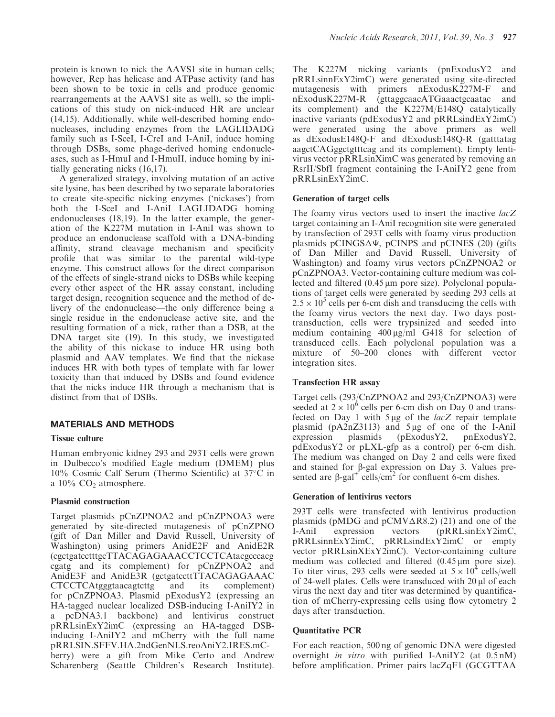protein is known to nick the AAVS1 site in human cells; however, Rep has helicase and ATPase activity (and has been shown to be toxic in cells and produce genomic rearrangements at the AAVS1 site as well), so the implications of this study on nick-induced HR are unclear (14,15). Additionally, while well-described homing endonucleases, including enzymes from the LAGLIDADG family such as I-SceI, I-CreI and I-AniI, induce homing through DSBs, some phage-derived homing endonucleases, such as I-HmuI and I-HmuII, induce homing by initially generating nicks (16,17).

A generalized strategy, involving mutation of an active site lysine, has been described by two separate laboratories to create site-specific nicking enzymes ('nickases') from both the I-SceI and I-AniI LAGLIDADG homing endonucleases (18,19). In the latter example, the generation of the K227M mutation in I-AniI was shown to produce an endonuclease scaffold with a DNA-binding affinity, strand cleavage mechanism and specificity profile that was similar to the parental wild-type enzyme. This construct allows for the direct comparison of the effects of single-strand nicks to DSBs while keeping every other aspect of the HR assay constant, including target design, recognition sequence and the method of delivery of the endonuclease—the only difference being a single residue in the endonuclease active site, and the resulting formation of a nick, rather than a DSB, at the DNA target site (19). In this study, we investigated the ability of this nickase to induce HR using both plasmid and AAV templates. We find that the nickase induces HR with both types of template with far lower toxicity than that induced by DSBs and found evidence that the nicks induce HR through a mechanism that is distinct from that of DSBs.

# MATERIALS AND METHODS

## Tissue culture

Human embryonic kidney 293 and 293T cells were grown in Dulbecco's modified Eagle medium (DMEM) plus 10% Cosmic Calf Serum (Thermo Scientific) at 37°C in a  $10\%$  CO<sub>2</sub> atmosphere.

### Plasmid construction

Target plasmids pCnZPNOA2 and pCnZPNOA3 were generated by site-directed mutagenesis of pCnZPNO (gift of Dan Miller and David Russell, University of Washington) using primers AnidE2F and AnidE2R (cgctgatcctttgcTTACAGAGAAACCTCCTCAtacgcccacg cgatg and its complement) for pCnZPNOA2 and AnidE3F and AnidE3R (gctgatccttTTACAGAGAAAC) CTCCTCAtgggtaacagtcttg and its complement) for pCnZPNOA3. Plasmid pExodusY2 (expressing an HA-tagged nuclear localized DSB-inducing I-AniIY2 in a pcDNA3.1 backbone) and lentivirus construct pRRLsinExY2imC (expressing an HA-tagged DSBinducing I-AniIY2 and mCherry with the full name pRRLSIN.SFFV.HA.2ndGenNLS.reoAniY2.IRES.mCherry) were a gift from Mike Certo and Andrew Scharenberg (Seattle Children's Research Institute).

The K227M nicking variants (pnExodusY2 and pRRLsinnExY2imC) were generated using site-directed mutagenesis with primers nExodusK227M-F and nExodusK227M-R (gttaggcaacATGaaactgcaatac and its complement) and the K227M/E148Q catalytically inactive variants (pdExodusY2 and pRRLsindExY2imC) were generated using the above primers as well as dExodusE148Q-F and dExodusE148Q-R (gatttatag aagctCAGggctgtttcag and its complement). Empty lentivirus vector pRRLsinXimC was generated by removing an RsrII/SbfI fragment containing the I-AniIY2 gene from pRRLsinExY2imC.

## Generation of target cells

The foamy virus vectors used to insert the inactive lacZ target containing an I-AniI recognition site were generated by transfection of 293T cells with foamy virus production plasmids pCINGS $\Delta\Psi$ , pCINPS and pCINES (20) (gifts of Dan Miller and David Russell, University of Washington) and foamy virus vectors pCnZPNOA2 or pCnZPNOA3. Vector-containing culture medium was collected and filtered (0.45  $\mu$ m pore size). Polyclonal populations of target cells were generated by seeding 293 cells at  $2.5 \times 10^5$  cells per 6-cm dish and transducing the cells with the foamy virus vectors the next day. Two days posttransduction, cells were trypsinized and seeded into medium containing  $400 \mu g/ml$  G418 for selection of transduced cells. Each polyclonal population was a mixture of 50–200 clones with different vector integration sites.

## Transfection HR assay

Target cells (293/CnZPNOA2 and 293/CnZPNOA3) were seeded at  $2 \times 10^6$  cells per 6-cm dish on Day 0 and transfected on Day 1 with  $5 \mu g$  of the *lacZ* repair template plasmid (pA2nZ3113) and 5  $\mu$ g of one of the I-AniI expression plasmids (pExodusY2, pnExodusY2, expression plasmids (pExodusY2, pnExodusY2, pdExodusY2 or pLXL-gfp as a control) per 6-cm dish. The medium was changed on Day 2 and cells were fixed and stained for  $\beta$ -gal expression on Day 3. Values presented are  $\beta$ -gal<sup>+</sup> cells/cm<sup>2</sup> for confluent 6-cm dishes.

### Generation of lentivirus vectors

293T cells were transfected with lentivirus production plasmids (pMDG and  $pCMV\Delta R8.2$ ) (21) and one of the I-AniI expression vectors (pRRLsinExY2imC, pRRLsinnExY2imC, pRRLsindExY2imC or empty vector pRRLsinXExY2imC). Vector-containing culture medium was collected and filtered  $(0.45 \,\mathrm{\upmu m})$  pore size). To titer virus, 293 cells were seeded at  $5 \times 10^4$  cells/well of 24-well plates. Cells were transduced with  $20 \mu$  of each virus the next day and titer was determined by quantification of mCherry-expressing cells using flow cytometry 2 days after transduction.

## Quantitative PCR

For each reaction, 500 ng of genomic DNA were digested overnight in vitro with purified I-AniIY2 (at 0.5 nM) before amplification. Primer pairs lacZqF1 (GCGTTAA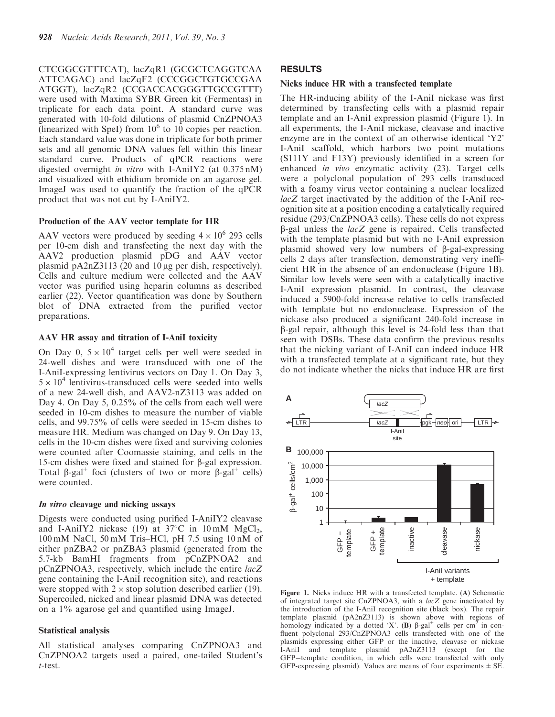CTCGGCGTTTCAT), lacZqR1 (GCGCTCAGGTCAA ATTCAGAC) and lacZqF2 (CCCGGCTGTGCCGAA ATGGT), lacZqR2 (CCGACCACGGGTTGCCGTTT) were used with Maxima SYBR Green kit (Fermentas) in triplicate for each data point. A standard curve was generated with 10-fold dilutions of plasmid CnZPNOA3 (linearized with SpeI) from  $10^6$  to  $10$  copies per reaction. Each standard value was done in triplicate for both primer sets and all genomic DNA values fell within this linear standard curve. Products of qPCR reactions were digested overnight in vitro with I-AniIY2 (at 0.375 nM) and visualized with ethidium bromide on an agarose gel. ImageJ was used to quantify the fraction of the qPCR product that was not cut by I-AniIY2.

## Production of the AAV vector template for HR

AAV vectors were produced by seeding  $4 \times 10^6$  293 cells per 10-cm dish and transfecting the next day with the AAV2 production plasmid pDG and AAV vector plasmid pA2nZ3113 (20 and 10 µg per dish, respectively). Cells and culture medium were collected and the AAV vector was purified using heparin columns as described earlier (22). Vector quantification was done by Southern blot of DNA extracted from the purified vector preparations.

# AAV HR assay and titration of I-AniI toxicity

On Day 0,  $5 \times 10^4$  target cells per well were seeded in 24-well dishes and were transduced with one of the I-AniI-expressing lentivirus vectors on Day 1. On Day 3,  $5 \times 10^4$  lentivirus-transduced cells were seeded into wells of a new 24-well dish, and AAV2-nZ3113 was added on Day 4. On Day 5, 0.25% of the cells from each well were seeded in 10-cm dishes to measure the number of viable cells, and 99.75% of cells were seeded in 15-cm dishes to measure HR. Medium was changed on Day 9. On Day 13, cells in the 10-cm dishes were fixed and surviving colonies were counted after Coomassie staining, and cells in the 15-cm dishes were fixed and stained for β-gal expression. Total  $\beta$ -gal<sup>+</sup> foci (clusters of two or more  $\beta$ -gal<sup>+</sup> cells) were counted.

### In vitro cleavage and nicking assays

Digests were conducted using purified I-AniIY2 cleavase and I-AniIY2 nickase (19) at  $37^{\circ}$ C in  $10 \text{ mM } MgCl_2$ , 100 mM NaCl, 50 mM Tris–HCl, pH 7.5 using 10 nM of either pnZBA2 or pnZBA3 plasmid (generated from the 5.7-kb BamHI fragments from pCnZPNOA2 and pCnZPNOA3, respectively, which include the entire lacZ gene containing the I-AniI recognition site), and reactions were stopped with  $2 \times$  stop solution described earlier (19). Supercoiled, nicked and linear plasmid DNA was detected on a 1% agarose gel and quantified using ImageJ.

## Statistical analysis

All statistical analyses comparing CnZPNOA3 and CnZPNOA2 targets used a paired, one-tailed Student's t-test.

## RESULTS

## Nicks induce HR with a transfected template

The HR-inducing ability of the I-AniI nickase was first determined by transfecting cells with a plasmid repair template and an I-AniI expression plasmid (Figure 1). In all experiments, the I-AniI nickase, cleavase and inactive enzyme are in the context of an otherwise identical 'Y2' I-AniI scaffold, which harbors two point mutations (S111Y and F13Y) previously identified in a screen for enhanced in vivo enzymatic activity (23). Target cells were a polyclonal population of 293 cells transduced with a foamy virus vector containing a nuclear localized lacZ target inactivated by the addition of the I-AniI recognition site at a position encoding a catalytically required residue (293/CnZPNOA3 cells). These cells do not express  $\beta$ -gal unless the *lacZ* gene is repaired. Cells transfected with the template plasmid but with no I-AniI expression plasmid showed very low numbers of b-gal-expressing cells 2 days after transfection, demonstrating very inefficient HR in the absence of an endonuclease (Figure 1B). Similar low levels were seen with a catalytically inactive I-AniI expression plasmid. In contrast, the cleavase induced a 5900-fold increase relative to cells transfected with template but no endonuclease. Expression of the nickase also produced a significant 240-fold increase in b-gal repair, although this level is 24-fold less than that seen with DSBs. These data confirm the previous results that the nicking variant of I-AniI can indeed induce HR with a transfected template at a significant rate, but they do not indicate whether the nicks that induce HR are first



Figure 1. Nicks induce HR with a transfected template. (A) Schematic of integrated target site CnZPNOA3, with a lacZ gene inactivated by the introduction of the I-AniI recognition site (black box). The repair template plasmid (pA2nZ3113) is shown above with regions of homology indicated by a dotted 'X'. (B)  $\beta$ -gal<sup>+</sup> cells per cm<sup>2</sup> in confluent polyclonal 293/CnZPNOA3 cells transfected with one of the plasmids expressing either GFP or the inactive, cleavase or nickase I-AniI and template plasmid pA2nZ3113 (except for the GFP-template condition, in which cells were transfected with only GFP-expressing plasmid). Values are means of four experiments  $\pm$  SE.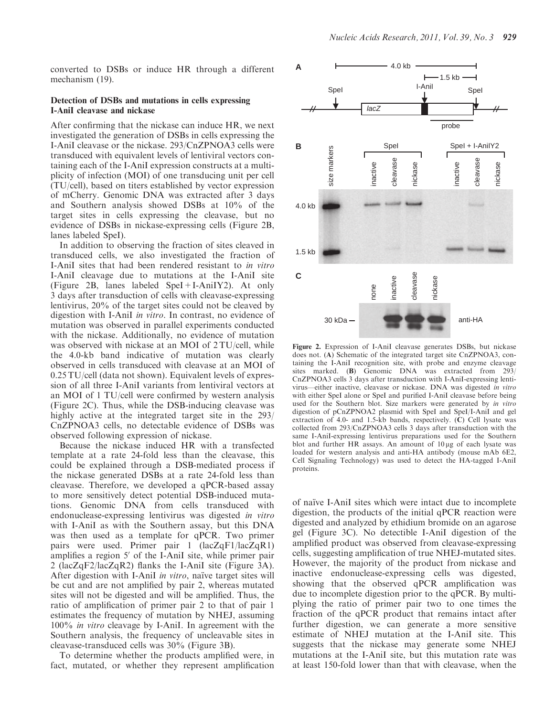converted to DSBs or induce HR through a different mechanism (19).

## Detection of DSBs and mutations in cells expressing I-AniI cleavase and nickase

After confirming that the nickase can induce HR, we next investigated the generation of DSBs in cells expressing the I-AniI cleavase or the nickase. 293/CnZPNOA3 cells were transduced with equivalent levels of lentiviral vectors containing each of the I-AniI expression constructs at a multiplicity of infection (MOI) of one transducing unit per cell (TU/cell), based on titers established by vector expression of mCherry. Genomic DNA was extracted after 3 days and Southern analysis showed DSBs at 10% of the target sites in cells expressing the cleavase, but no evidence of DSBs in nickase-expressing cells (Figure 2B, lanes labeled SpeI).

In addition to observing the fraction of sites cleaved in transduced cells, we also investigated the fraction of I-AniI sites that had been rendered resistant to in vitro I-AniI cleavage due to mutations at the I-AniI site (Figure 2B, lanes labeled SpeI+I-AniIY2). At only 3 days after transduction of cells with cleavase-expressing lentivirus, 20% of the target sites could not be cleaved by digestion with I-AniI in vitro. In contrast, no evidence of mutation was observed in parallel experiments conducted with the nickase. Additionally, no evidence of mutation was observed with nickase at an MOI of 2 TU/cell, while the 4.0-kb band indicative of mutation was clearly observed in cells transduced with cleavase at an MOI of 0.25 TU/cell (data not shown). Equivalent levels of expression of all three I-AniI variants from lentiviral vectors at an MOI of 1 TU/cell were confirmed by western analysis (Figure 2C). Thus, while the DSB-inducing cleavase was highly active at the integrated target site in the 293/ CnZPNOA3 cells, no detectable evidence of DSBs was observed following expression of nickase.

Because the nickase induced HR with a transfected template at a rate 24-fold less than the cleavase, this could be explained through a DSB-mediated process if the nickase generated DSBs at a rate 24-fold less than cleavase. Therefore, we developed a qPCR-based assay to more sensitively detect potential DSB-induced mutations. Genomic DNA from cells transduced with endonuclease-expressing lentivirus was digested in vitro with I-AniI as with the Southern assay, but this DNA was then used as a template for qPCR. Two primer pairs were used. Primer pair 1 (lacZqF1/lacZqR1) amplifies a region  $5'$  of the I-AniI site, while primer pair 2 (lacZqF2/lacZqR2) flanks the I-AniI site (Figure 3A). After digestion with I-AniI *in vitro*, naïve target sites will be cut and are not amplified by pair 2, whereas mutated sites will not be digested and will be amplified. Thus, the ratio of amplification of primer pair 2 to that of pair 1 estimates the frequency of mutation by NHEJ, assuming 100% in vitro cleavage by I-AniI. In agreement with the Southern analysis, the frequency of uncleavable sites in cleavase-transduced cells was 30% (Figure 3B).

To determine whether the products amplified were, in fact, mutated, or whether they represent amplification



Figure 2. Expression of I-AniI cleavase generates DSBs, but nickase does not. (A) Schematic of the integrated target site CnZPNOA3, containing the I-AniI recognition site, with probe and enzyme cleavage sites marked. **(B)** Genomic DNA was extracted from 293/ CnZPNOA3 cells 3 days after transduction with I-AniI-expressing lentivirus—either inactive, cleavase or nickase. DNA was digested in vitro with either SpeI alone or SpeI and purified I-AniI cleavase before being used for the Southern blot. Size markers were generated by in vitro digestion of pCnZPNOA2 plasmid with SpeI and SpeI/I-AniI and gel extraction of 4.0- and 1.5-kb bands, respectively. (C) Cell lysate was collected from 293/CnZPNOA3 cells 3 days after transduction with the same I-AniI-expressing lentivirus preparations used for the Southern blot and further HR assays. An amount of  $10 \mu$ g of each lysate was loaded for western analysis and anti-HA antibody (mouse mAb 6E2, Cell Signaling Technology) was used to detect the HA-tagged I-AniI proteins.

of naïve I-AniI sites which were intact due to incomplete digestion, the products of the initial qPCR reaction were digested and analyzed by ethidium bromide on an agarose gel (Figure 3C). No detectible I-AniI digestion of the amplified product was observed from cleavase-expressing cells, suggesting amplification of true NHEJ-mutated sites. However, the majority of the product from nickase and inactive endonuclease-expressing cells was digested, showing that the observed qPCR amplification was due to incomplete digestion prior to the qPCR. By multiplying the ratio of primer pair two to one times the fraction of the qPCR product that remains intact after further digestion, we can generate a more sensitive estimate of NHEJ mutation at the I-AniI site. This suggests that the nickase may generate some NHEJ mutations at the I-AniI site, but this mutation rate was at least 150-fold lower than that with cleavase, when the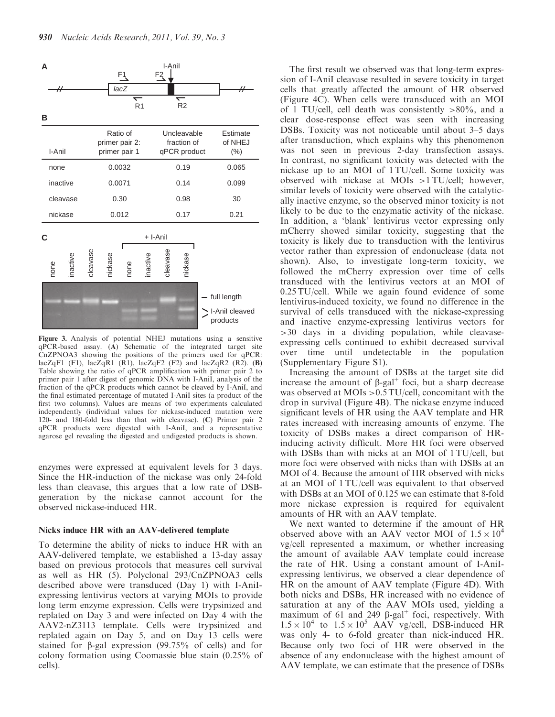

Figure 3. Analysis of potential NHEJ mutations using a sensitive qPCR-based assay. (A) Schematic of the integrated target site CnZPNOA3 showing the positions of the primers used for qPCR: lacZqF1 (F1), lacZq $\overline{R}$ 1 ( $\overline{R}$ 1), lacZqF2 (F2) and lacZqR2 (R2). (B) Table showing the ratio of qPCR amplification with primer pair 2 to primer pair 1 after digest of genomic DNA with I-AniI, analysis of the fraction of the qPCR products which cannot be cleaved by I-AniI, and the final estimated percentage of mutated I-AniI sites (a product of the first two columns). Values are means of two experiments calculated independently (individual values for nickase-induced mutation were 120- and 180-fold less than that with cleavase). (C) Primer pair 2 qPCR products were digested with I-AniI, and a representative agarose gel revealing the digested and undigested products is shown.

enzymes were expressed at equivalent levels for 3 days. Since the HR-induction of the nickase was only 24-fold less than cleavase, this argues that a low rate of DSBgeneration by the nickase cannot account for the observed nickase-induced HR.

## Nicks induce HR with an AAV-delivered template

To determine the ability of nicks to induce HR with an AAV-delivered template, we established a 13-day assay based on previous protocols that measures cell survival as well as HR (5). Polyclonal 293/CnZPNOA3 cells described above were transduced (Day 1) with I-AniIexpressing lentivirus vectors at varying MOIs to provide long term enzyme expression. Cells were trypsinized and replated on Day 3 and were infected on Day 4 with the AAV2-nZ3113 template. Cells were trypsinized and replated again on Day 5, and on Day 13 cells were stained for  $\beta$ -gal expression (99.75% of cells) and for colony formation using Coomassie blue stain (0.25% of cells).

The first result we observed was that long-term expression of I-AniI cleavase resulted in severe toxicity in target cells that greatly affected the amount of HR observed (Figure 4C). When cells were transduced with an MOI of 1 TU/cell, cell death was consistently  $>80\%$ , and a clear dose-response effect was seen with increasing DSBs. Toxicity was not noticeable until about 3–5 days after transduction, which explains why this phenomenon was not seen in previous 2-day transfection assays. In contrast, no significant toxicity was detected with the nickase up to an MOI of 1 TU/cell. Some toxicity was observed with nickase at MOIs >1 TU/cell; however, similar levels of toxicity were observed with the catalytically inactive enzyme, so the observed minor toxicity is not likely to be due to the enzymatic activity of the nickase. In addition, a 'blank' lentivirus vector expressing only mCherry showed similar toxicity, suggesting that the toxicity is likely due to transduction with the lentivirus vector rather than expression of endonuclease (data not shown). Also, to investigate long-term toxicity, we followed the mCherry expression over time of cells transduced with the lentivirus vectors at an MOI of 0.25 TU/cell. While we again found evidence of some lentivirus-induced toxicity, we found no difference in the survival of cells transduced with the nickase-expressing and inactive enzyme-expressing lentivirus vectors for >30 days in a dividing population, while cleavaseexpressing cells continued to exhibit decreased survival over time until undetectable in the population (Supplementary Figure S1).

Increasing the amount of DSBs at the target site did increase the amount of  $\beta$ -gal<sup>+</sup> foci, but a sharp decrease was observed at MOIs >0.5 TU/cell, concomitant with the drop in survival (Figure 4B). The nickase enzyme induced significant levels of HR using the AAV template and HR rates increased with increasing amounts of enzyme. The toxicity of DSBs makes a direct comparison of HRinducing activity difficult. More HR foci were observed with DSBs than with nicks at an MOI of 1 TU/cell, but more foci were observed with nicks than with DSBs at an MOI of 4. Because the amount of HR observed with nicks at an MOI of 1 TU/cell was equivalent to that observed with DSBs at an MOI of 0.125 we can estimate that 8-fold more nickase expression is required for equivalent amounts of HR with an AAV template.

We next wanted to determine if the amount of HR observed above with an AAV vector MOI of  $1.5 \times 10^4$ vg/cell represented a maximum, or whether increasing the amount of available AAV template could increase the rate of HR. Using a constant amount of I-AniIexpressing lentivirus, we observed a clear dependence of HR on the amount of AAV template (Figure 4D). With both nicks and DSBs, HR increased with no evidence of saturation at any of the AAV MOIs used, yielding a maximum of 61 and 249  $\beta$ -gal<sup>+</sup> foci, respectively. With  $1.5 \times 10^4$  to  $1.5 \times 10^5$  AAV vg/cell, DSB-induced HR was only 4- to 6-fold greater than nick-induced HR. Because only two foci of HR were observed in the absence of any endonuclease with the highest amount of AAV template, we can estimate that the presence of DSBs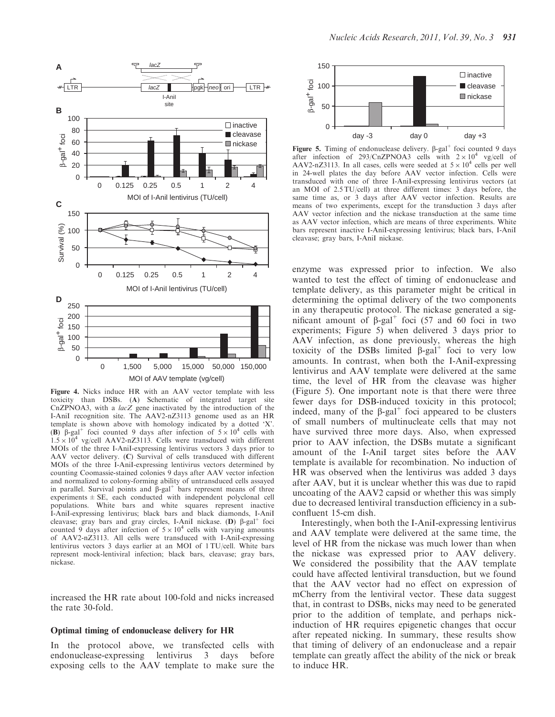

Figure 4. Nicks induce HR with an AAV vector template with less toxicity than DSBs. (A) Schematic of integrated target site CnZPNOA3, with a lacZ gene inactivated by the introduction of the I-AniI recognition site. The AAV2-nZ3113 genome used as an HR template is shown above with homology indicated by a dotted 'X'. (B)  $\beta$ -gal<sup>+</sup> foci counted 9 days after infection of  $5 \times 10^4$  cells with  $1.5 \times 10^4$  vg/cell AAV2-nZ3113. Cells were transduced with different MOIs of the three I-AniI-expressing lentivirus vectors 3 days prior to AAV vector delivery. (C) Survival of cells transduced with different MOIs of the three I-AniI-expressing lentivirus vectors determined by counting Coomassie-stained colonies 9 days after AAV vector infection and normalized to colony-forming ability of untransduced cells assayed in parallel. Survival points and  $\beta$ -gal<sup>+</sup> bars represent means of three experiments  $\pm$  SE, each conducted with independent polyclonal cell populations. White bars and white squares represent inactive I-AniI-expressing lentivirus; black bars and black diamonds, I-AniI cleavase; gray bars and gray circles, I-AniI nickase. (D)  $\beta$ -gal<sup>+</sup> foci counted 9 days after infection of  $5 \times 10^4$  cells with varying amounts of AAV2-nZ3113. All cells were transduced with I-AniI-expressing lentivirus vectors 3 days earlier at an MOI of 1 TU/cell. White bars represent mock-lentiviral infection; black bars, cleavase; gray bars, nickase.

increased the HR rate about 100-fold and nicks increased the rate 30-fold.

#### Optimal timing of endonuclease delivery for HR

In the protocol above, we transfected cells with endonuclease-expressing lentivirus 3 days before exposing cells to the AAV template to make sure the



Figure 5. Timing of endonuclease delivery.  $\beta$ -gal<sup>+</sup> foci counted 9 days after infection of 293/CnZPNOA3 cells with  $2 \times 10^4$  vg/cell of AAV2-nZ3113. In all cases, cells were seeded at  $5 \times 10^4$  cells per well in 24-well plates the day before AAV vector infection. Cells were transduced with one of three I-AniI-expressing lentivirus vectors (at an MOI of 2.5 TU/cell) at three different times: 3 days before, the same time as, or 3 days after AAV vector infection. Results are means of two experiments, except for the transduction 3 days after AAV vector infection and the nickase transduction at the same time as AAV vector infection, which are means of three experiments. White bars represent inactive I-AniI-expressing lentivirus; black bars, I-AniI cleavase; gray bars, I-AniI nickase.

enzyme was expressed prior to infection. We also wanted to test the effect of timing of endonuclease and template delivery, as this parameter might be critical in determining the optimal delivery of the two components in any therapeutic protocol. The nickase generated a significant amount of  $\beta$ -gal<sup>+</sup> foci (57 and 60 foci in two experiments; Figure 5) when delivered 3 days prior to AAV infection, as done previously, whereas the high toxicity of the DSBs limited  $\beta$ -gal<sup>+</sup> foci to very low amounts. In contrast, when both the I-AniI-expressing lentivirus and AAV template were delivered at the same time, the level of HR from the cleavase was higher (Figure 5). One important note is that there were three fewer days for DSB-induced toxicity in this protocol; indeed, many of the  $\beta$ -gal<sup>+</sup> foci appeared to be clusters of small numbers of multinucleate cells that may not have survived three more days. Also, when expressed prior to AAV infection, the DSBs mutate a significant amount of the I-AniI target sites before the AAV template is available for recombination. No induction of HR was observed when the lentivirus was added 3 days after AAV, but it is unclear whether this was due to rapid uncoating of the AAV2 capsid or whether this was simply due to decreased lentiviral transduction efficiency in a subconfluent 15-cm dish.

Interestingly, when both the I-AniI-expressing lentivirus and AAV template were delivered at the same time, the level of HR from the nickase was much lower than when the nickase was expressed prior to AAV delivery. We considered the possibility that the AAV template could have affected lentiviral transduction, but we found that the AAV vector had no effect on expression of mCherry from the lentiviral vector. These data suggest that, in contrast to DSBs, nicks may need to be generated prior to the addition of template, and perhaps nickinduction of HR requires epigenetic changes that occur after repeated nicking. In summary, these results show that timing of delivery of an endonuclease and a repair template can greatly affect the ability of the nick or break to induce HR.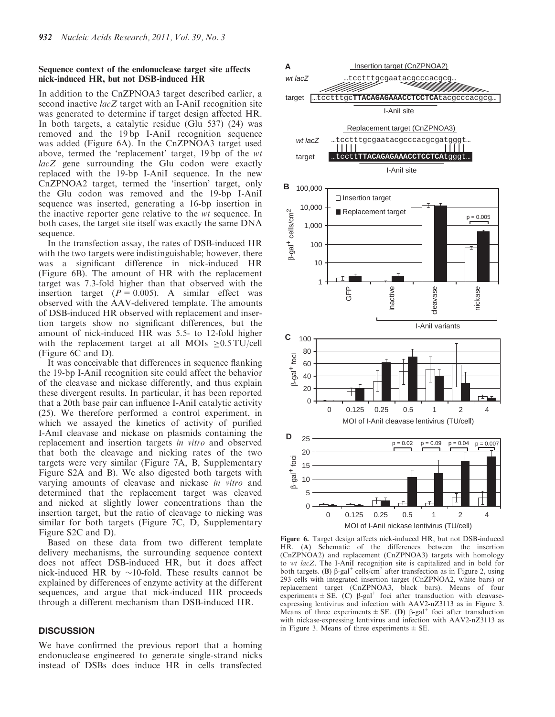## Sequence context of the endonuclease target site affects nick-induced HR, but not DSB-induced HR

In addition to the CnZPNOA3 target described earlier, a second inactive  $lacZ$  target with an I-AniI recognition site was generated to determine if target design affected HR. In both targets, a catalytic residue (Glu 537) (24) was removed and the 19 bp I-AniI recognition sequence was added (Figure 6A). In the CnZPNOA3 target used above, termed the 'replacement' target, 19 bp of the wt lacZ gene surrounding the Glu codon were exactly replaced with the 19-bp I-AniI sequence. In the new CnZPNOA2 target, termed the 'insertion' target, only the Glu codon was removed and the 19-bp I-AniI sequence was inserted, generating a 16-bp insertion in the inactive reporter gene relative to the wt sequence. In both cases, the target site itself was exactly the same DNA sequence.

In the transfection assay, the rates of DSB-induced HR with the two targets were indistinguishable; however, there was a significant difference in nick-induced HR (Figure 6B). The amount of HR with the replacement target was 7.3-fold higher than that observed with the insertion target  $(P = 0.005)$ . A similar effect was observed with the AAV-delivered template. The amounts of DSB-induced HR observed with replacement and insertion targets show no significant differences, but the amount of nick-induced HR was 5.5- to 12-fold higher with the replacement target at all MOIs  $\geq 0.5 \text{TU/cell}$ (Figure 6C and D).

It was conceivable that differences in sequence flanking the 19-bp I-AniI recognition site could affect the behavior of the cleavase and nickase differently, and thus explain these divergent results. In particular, it has been reported that a 20th base pair can influence I-AniI catalytic activity (25). We therefore performed a control experiment, in which we assayed the kinetics of activity of purified I-AniI cleavase and nickase on plasmids containing the replacement and insertion targets in vitro and observed that both the cleavage and nicking rates of the two targets were very similar (Figure 7A, B, Supplementary Figure S2A and B). We also digested both targets with varying amounts of cleavase and nickase in vitro and determined that the replacement target was cleaved and nicked at slightly lower concentrations than the insertion target, but the ratio of cleavage to nicking was similar for both targets (Figure 7C, D, Supplementary Figure S2C and D).

Based on these data from two different template delivery mechanisms, the surrounding sequence context does not affect DSB-induced HR, but it does affect nick-induced HR by  $\sim$ 10-fold. These results cannot be explained by differences of enzyme activity at the different sequences, and argue that nick-induced HR proceeds through a different mechanism than DSB-induced HR.

## **DISCUSSION**

We have confirmed the previous report that a homing endonuclease engineered to generate single-strand nicks instead of DSBs does induce HR in cells transfected



Figure 6. Target design affects nick-induced HR, but not DSB-induced HR. (A) Schematic of the differences between the insertion (CnZPNOA2) and replacement (CnZPNOA3) targets with homology to wt lacZ. The I-AniI recognition site is capitalized and in bold for both targets. (B)  $\beta$ -gal<sup>+</sup> cells/cm<sup>2</sup> after transfection as in Figure 2, using 293 cells with integrated insertion target (CnZPNOA2, white bars) or replacement target (CnZPNOA3, black bars). Means of four experiments  $\pm$  SE. (C)  $\beta$ -gal<sup>+</sup> foci after transduction with cleavaseexpressing lentivirus and infection with AAV2-nZ3113 as in Figure 3. Means of three experiments  $\pm$  SE. (D)  $\beta$ -gal<sup>+</sup> foci after transduction with nickase-expressing lentivirus and infection with AAV2-nZ3113 as in Figure 3. Means of three experiments  $\pm$  SE.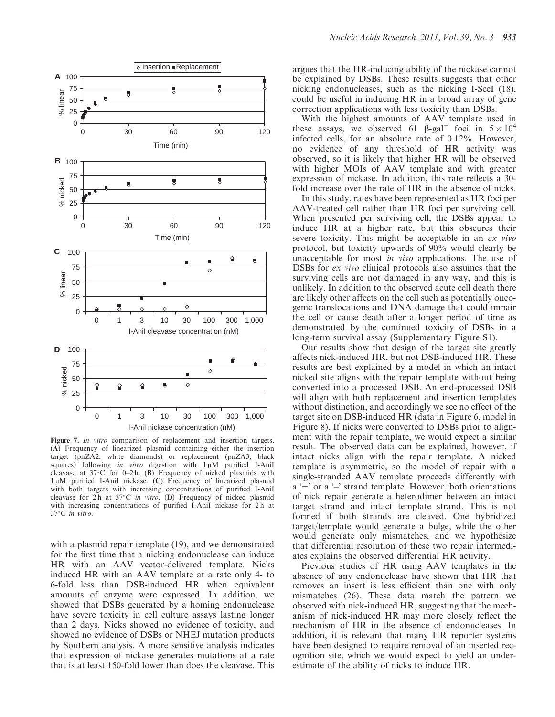

Figure 7. In vitro comparison of replacement and insertion targets. (A) Frequency of linearized plasmid containing either the insertion target (pnZA2, white diamonds) or replacement (pnZA3, black squares) following in vitro digestion with  $1 \mu M$  purified I-AniI cleavase at  $37^{\circ}$ C for 0-2h. (B) Frequency of nicked plasmids with  $1 \mu$ M purified I-AniI nickase. (C) Frequency of linearized plasmid with both targets with increasing concentrations of purified I-AniI cleavase for  $2h$  at  $37^{\circ}$ C in vitro. (D) Frequency of nicked plasmid with increasing concentrations of purified I-AniI nickase for 2 h at 37°C in vitro.

with a plasmid repair template (19), and we demonstrated for the first time that a nicking endonuclease can induce HR with an AAV vector-delivered template. Nicks induced HR with an AAV template at a rate only 4- to 6-fold less than DSB-induced HR when equivalent amounts of enzyme were expressed. In addition, we showed that DSBs generated by a homing endonuclease have severe toxicity in cell culture assays lasting longer than 2 days. Nicks showed no evidence of toxicity, and showed no evidence of DSBs or NHEJ mutation products by Southern analysis. A more sensitive analysis indicates that expression of nickase generates mutations at a rate that is at least 150-fold lower than does the cleavase. This argues that the HR-inducing ability of the nickase cannot be explained by DSBs. These results suggests that other nicking endonucleases, such as the nicking I-SceI (18), could be useful in inducing HR in a broad array of gene correction applications with less toxicity than DSBs.

With the highest amounts of AAV template used in these assays, we observed 61  $\beta$ -gal<sup>+</sup> foci in  $5 \times 10^4$ infected cells, for an absolute rate of 0.12%. However, no evidence of any threshold of HR activity was observed, so it is likely that higher HR will be observed with higher MOIs of AAV template and with greater expression of nickase. In addition, this rate reflects a 30 fold increase over the rate of HR in the absence of nicks.

In this study, rates have been represented as HR foci per AAV-treated cell rather than HR foci per surviving cell. When presented per surviving cell, the DSBs appear to induce HR at a higher rate, but this obscures their severe toxicity. This might be acceptable in an *ex vivo* protocol, but toxicity upwards of 90% would clearly be unacceptable for most in vivo applications. The use of DSBs for ex vivo clinical protocols also assumes that the surviving cells are not damaged in any way, and this is unlikely. In addition to the observed acute cell death there are likely other affects on the cell such as potentially oncogenic translocations and DNA damage that could impair the cell or cause death after a longer period of time as demonstrated by the continued toxicity of DSBs in a long-term survival assay (Supplementary Figure S1).

Our results show that design of the target site greatly affects nick-induced HR, but not DSB-induced HR. These results are best explained by a model in which an intact nicked site aligns with the repair template without being converted into a processed DSB. An end-processed DSB will align with both replacement and insertion templates without distinction, and accordingly we see no effect of the target site on DSB-induced HR (data in Figure 6, model in Figure 8). If nicks were converted to DSBs prior to alignment with the repair template, we would expect a similar result. The observed data can be explained, however, if intact nicks align with the repair template. A nicked template is asymmetric, so the model of repair with a single-stranded AAV template proceeds differently with a '+' or a '–' strand template. However, both orientations of nick repair generate a heterodimer between an intact target strand and intact template strand. This is not formed if both strands are cleaved. One hybridized target/template would generate a bulge, while the other would generate only mismatches, and we hypothesize that differential resolution of these two repair intermediates explains the observed differential HR activity.

Previous studies of HR using AAV templates in the absence of any endonuclease have shown that HR that removes an insert is less efficient than one with only mismatches (26). These data match the pattern we observed with nick-induced HR, suggesting that the mechanism of nick-induced HR may more closely reflect the mechanism of HR in the absence of endonucleases. In addition, it is relevant that many HR reporter systems have been designed to require removal of an inserted recognition site, which we would expect to yield an underestimate of the ability of nicks to induce HR.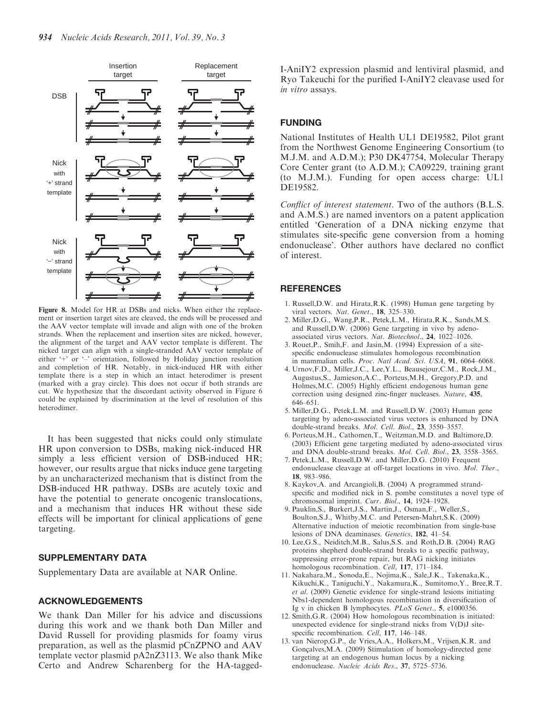

Figure 8. Model for HR at DSBs and nicks. When either the replacement or insertion target sites are cleaved, the ends will be processed and the AAV vector template will invade and align with one of the broken strands. When the replacement and insertion sites are nicked, however, the alignment of the target and AAV vector template is different. The nicked target can align with a single-stranded AAV vector template of either '+' or '–' orientation, followed by Holiday junction resolution and completion of HR. Notably, in nick-induced HR with either template there is a step in which an intact heterodimer is present (marked with a gray circle). This does not occur if both strands are cut. We hypothesize that the discordant activity observed in Figure 6 could be explained by discrimination at the level of resolution of this heterodimer.

It has been suggested that nicks could only stimulate HR upon conversion to DSBs, making nick-induced HR simply a less efficient version of DSB-induced HR; however, our results argue that nicks induce gene targeting by an uncharacterized mechanism that is distinct from the DSB-induced HR pathway. DSBs are acutely toxic and have the potential to generate oncogenic translocations, and a mechanism that induces HR without these side effects will be important for clinical applications of gene targeting.

# SUPPLEMENTARY DATA

Supplementary Data are available at NAR Online.

## ACKNOWLEDGEMENTS

We thank Dan Miller for his advice and discussions during this work and we thank both Dan Miller and David Russell for providing plasmids for foamy virus preparation, as well as the plasmid pCnZPNO and AAV template vector plasmid pA2nZ3113. We also thank Mike Certo and Andrew Scharenberg for the HA-taggedI-AniIY2 expression plasmid and lentiviral plasmid, and Ryo Takeuchi for the purified I-AniIY2 cleavase used for in vitro assays.

# FUNDING

National Institutes of Health UL1 DE19582, Pilot grant from the Northwest Genome Engineering Consortium (to M.J.M. and A.D.M.); P30 DK47754, Molecular Therapy Core Center grant (to A.D.M.); CA09229, training grant (to M.J.M.). Funding for open access charge: UL1 DE19582.

Conflict of interest statement. Two of the authors (B.L.S. and A.M.S.) are named inventors on a patent application entitled 'Generation of a DNA nicking enzyme that stimulates site-specific gene conversion from a homing endonuclease'. Other authors have declared no conflict of interest.

### **REFERENCES**

- 1. Russell,D.W. and Hirata,R.K. (1998) Human gene targeting by viral vectors. Nat. Genet., 18, 325–330.
- 2. Miller,D.G., Wang,P.R., Petek,L.M., Hirata,R.K., Sands,M.S. and Russell,D.W. (2006) Gene targeting in vivo by adenoassociated virus vectors. Nat. Biotechnol., 24, 1022–1026.
- 3. Rouet,P., Smih,F. and Jasin,M. (1994) Expression of a sitespecific endonuclease stimulates homologous recombination in mammalian cells. Proc. Natl Acad. Sci. USA, 91, 6064-6068.
- 4. Urnov,F.D., Miller,J.C., Lee,Y.L., Beausejour,C.M., Rock,J.M., Augustus,S., Jamieson,A.C., Porteus,M.H., Gregory,P.D. and Holmes,M.C. (2005) Highly efficient endogenous human gene correction using designed zinc-finger nucleases. Nature, 435, 646–651.
- 5. Miller,D.G., Petek,L.M. and Russell,D.W. (2003) Human gene targeting by adeno-associated virus vectors is enhanced by DNA double-strand breaks. Mol. Cell. Biol., 23, 3550–3557.
- 6. Porteus,M.H., Cathomen,T., Weitzman,M.D. and Baltimore,D. (2003) Efficient gene targeting mediated by adeno-associated virus and DNA double-strand breaks. Mol. Cell. Biol., 23, 3558–3565.
- 7. Petek,L.M., Russell,D.W. and Miller,D.G. (2010) Frequent endonuclease cleavage at off-target locations in vivo. Mol. Ther., 18, 983–986.
- 8. Kaykov,A. and Arcangioli,B. (2004) A programmed strandspecific and modified nick in S. pombe constitutes a novel type of chromosomal imprint. Curr. Biol., 14, 1924–1928.
- 9. Pauklin,S., Burkert,J.S., Martin,J., Osman,F., Weller,S., Boulton,S.J., Whitby,M.C. and Petersen-Mahrt,S.K. (2009) Alternative induction of meiotic recombination from single-base lesions of DNA deaminases. Genetics, 182, 41–54.
- 10. Lee,G.S., Neiditch,M.B., Salus,S.S. and Roth,D.B. (2004) RAG proteins shepherd double-strand breaks to a specific pathway, suppressing error-prone repair, but RAG nicking initiates homologous recombination. Cell, 117, 171-184.
- 11. Nakahara,M., Sonoda,E., Nojima,K., Sale,J.K., Takenaka,K., Kikuchi,K., Taniguchi,Y., Nakamura,K., Sumitomo,Y., Bree,R.T. et al. (2009) Genetic evidence for single-strand lesions initiating Nbs1-dependent homologous recombination in diversification of Ig v in chicken B lymphocytes. PLoS Genet., 5, e1000356.
- 12. Smith,G.R. (2004) How homologous recombination is initiated: unexpected evidence for single-strand nicks from V(D)J sitespecific recombination. Cell, 117, 146-148.
- 13. van Nierop,G.P., de Vries,A.A., Holkers,M., Vrijsen,K.R. and Gonçalves, M.A. (2009) Stimulation of homology-directed gene targeting at an endogenous human locus by a nicking endonuclease. Nucleic Acids Res., 37, 5725–5736.